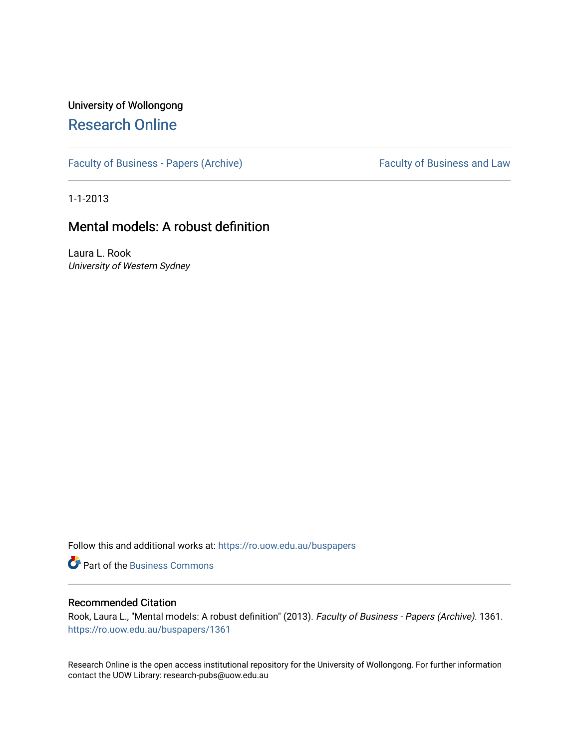# University of Wollongong [Research Online](https://ro.uow.edu.au/)

[Faculty of Business - Papers \(Archive\)](https://ro.uow.edu.au/buspapers) Faculty of Business and Law

1-1-2013

# Mental models: A robust definition

Laura L. Rook University of Western Sydney

Follow this and additional works at: [https://ro.uow.edu.au/buspapers](https://ro.uow.edu.au/buspapers?utm_source=ro.uow.edu.au%2Fbuspapers%2F1361&utm_medium=PDF&utm_campaign=PDFCoverPages) 

**P** Part of the [Business Commons](http://network.bepress.com/hgg/discipline/622?utm_source=ro.uow.edu.au%2Fbuspapers%2F1361&utm_medium=PDF&utm_campaign=PDFCoverPages)

#### Recommended Citation

Rook, Laura L., "Mental models: A robust definition" (2013). Faculty of Business - Papers (Archive). 1361. [https://ro.uow.edu.au/buspapers/1361](https://ro.uow.edu.au/buspapers/1361?utm_source=ro.uow.edu.au%2Fbuspapers%2F1361&utm_medium=PDF&utm_campaign=PDFCoverPages)

Research Online is the open access institutional repository for the University of Wollongong. For further information contact the UOW Library: research-pubs@uow.edu.au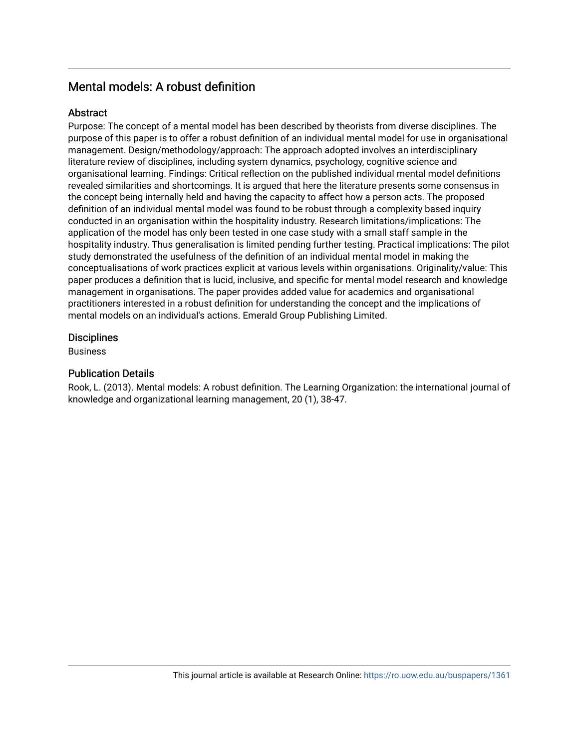# Mental models: A robust definition

## Abstract

Purpose: The concept of a mental model has been described by theorists from diverse disciplines. The purpose of this paper is to offer a robust definition of an individual mental model for use in organisational management. Design/methodology/approach: The approach adopted involves an interdisciplinary literature review of disciplines, including system dynamics, psychology, cognitive science and organisational learning. Findings: Critical reflection on the published individual mental model definitions revealed similarities and shortcomings. It is argued that here the literature presents some consensus in the concept being internally held and having the capacity to affect how a person acts. The proposed definition of an individual mental model was found to be robust through a complexity based inquiry conducted in an organisation within the hospitality industry. Research limitations/implications: The application of the model has only been tested in one case study with a small staff sample in the hospitality industry. Thus generalisation is limited pending further testing. Practical implications: The pilot study demonstrated the usefulness of the definition of an individual mental model in making the conceptualisations of work practices explicit at various levels within organisations. Originality/value: This paper produces a definition that is lucid, inclusive, and specific for mental model research and knowledge management in organisations. The paper provides added value for academics and organisational practitioners interested in a robust definition for understanding the concept and the implications of mental models on an individual's actions. Emerald Group Publishing Limited.

### **Disciplines**

**Business** 

## Publication Details

Rook, L. (2013). Mental models: A robust definition. The Learning Organization: the international journal of knowledge and organizational learning management, 20 (1), 38-47.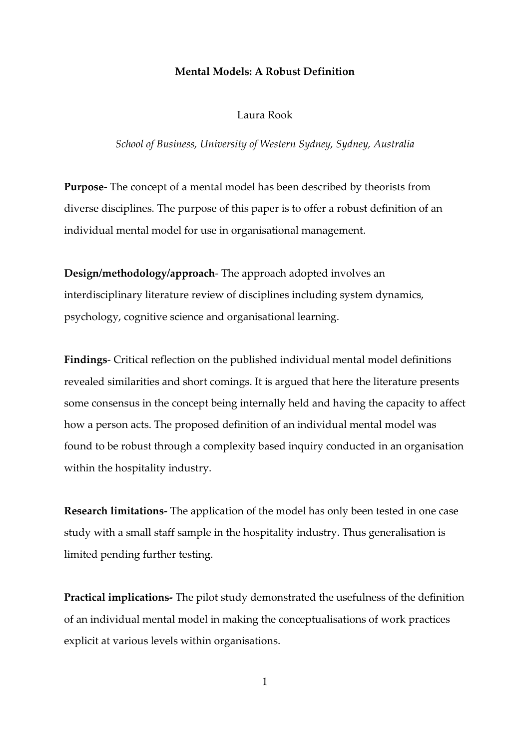## **Mental Models: A Robust Definition**

## Laura Rook

#### *School of Business, University of Western Sydney, Sydney, Australia*

**Purpose**- The concept of a mental model has been described by theorists from diverse disciplines. The purpose of this paper is to offer a robust definition of an individual mental model for use in organisational management.

**Design/methodology/approach**- The approach adopted involves an interdisciplinary literature review of disciplines including system dynamics, psychology, cognitive science and organisational learning.

**Findings**- Critical reflection on the published individual mental model definitions revealed similarities and short comings. It is argued that here the literature presents some consensus in the concept being internally held and having the capacity to affect how a person acts. The proposed definition of an individual mental model was found to be robust through a complexity based inquiry conducted in an organisation within the hospitality industry.

**Research limitations-** The application of the model has only been tested in one case study with a small staff sample in the hospitality industry. Thus generalisation is limited pending further testing.

**Practical implications-** The pilot study demonstrated the usefulness of the definition of an individual mental model in making the conceptualisations of work practices explicit at various levels within organisations.

1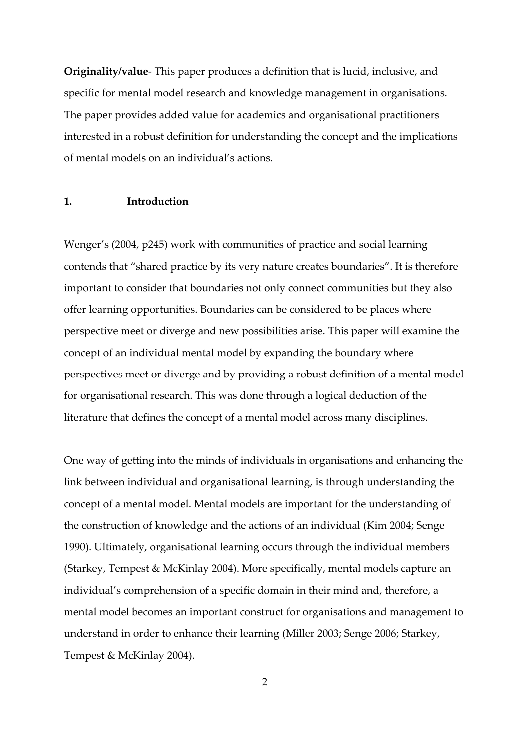**Originality/value**- This paper produces a definition that is lucid, inclusive, and specific for mental model research and knowledge management in organisations. The paper provides added value for academics and organisational practitioners interested in a robust definition for understanding the concept and the implications of mental models on an individual's actions.

## **1. Introduction**

Wenger's (2004, p245) work with communities of practice and social learning contends that "shared practice by its very nature creates boundaries". It is therefore important to consider that boundaries not only connect communities but they also offer learning opportunities. Boundaries can be considered to be places where perspective meet or diverge and new possibilities arise. This paper will examine the concept of an individual mental model by expanding the boundary where perspectives meet or diverge and by providing a robust definition of a mental model for organisational research. This was done through a logical deduction of the literature that defines the concept of a mental model across many disciplines.

One way of getting into the minds of individuals in organisations and enhancing the link between individual and organisational learning, is through understanding the concept of a mental model. Mental models are important for the understanding of the construction of knowledge and the actions of an individual (Kim 2004; Senge 1990). Ultimately, organisational learning occurs through the individual members (Starkey, Tempest & McKinlay 2004). More specifically, mental models capture an individual's comprehension of a specific domain in their mind and, therefore, a mental model becomes an important construct for organisations and management to understand in order to enhance their learning (Miller 2003; Senge 2006; Starkey, Tempest & McKinlay 2004).

2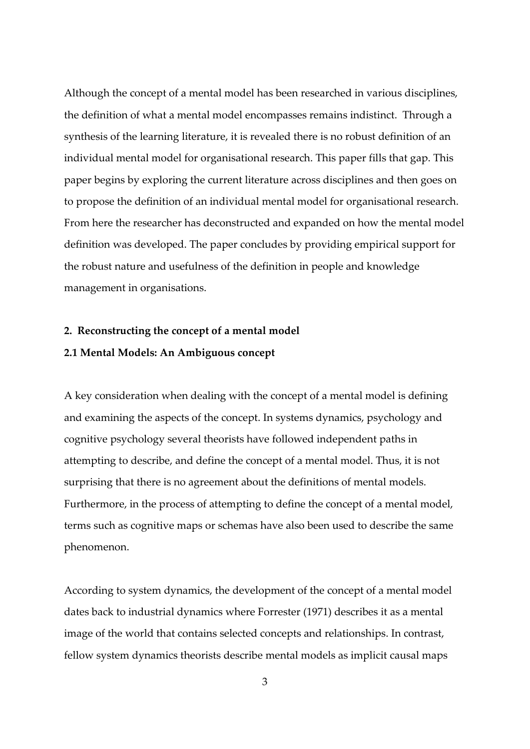Although the concept of a mental model has been researched in various disciplines, the definition of what a mental model encompasses remains indistinct. Through a synthesis of the learning literature, it is revealed there is no robust definition of an individual mental model for organisational research. This paper fills that gap. This paper begins by exploring the current literature across disciplines and then goes on to propose the definition of an individual mental model for organisational research. From here the researcher has deconstructed and expanded on how the mental model definition was developed. The paper concludes by providing empirical support for the robust nature and usefulness of the definition in people and knowledge management in organisations.

#### **2. Reconstructing the concept of a mental model**

#### **2.1 Mental Models: An Ambiguous concept**

A key consideration when dealing with the concept of a mental model is defining and examining the aspects of the concept. In systems dynamics, psychology and cognitive psychology several theorists have followed independent paths in attempting to describe, and define the concept of a mental model. Thus, it is not surprising that there is no agreement about the definitions of mental models. Furthermore, in the process of attempting to define the concept of a mental model, terms such as cognitive maps or schemas have also been used to describe the same phenomenon.

According to system dynamics, the development of the concept of a mental model dates back to industrial dynamics where Forrester (1971) describes it as a mental image of the world that contains selected concepts and relationships. In contrast, fellow system dynamics theorists describe mental models as implicit causal maps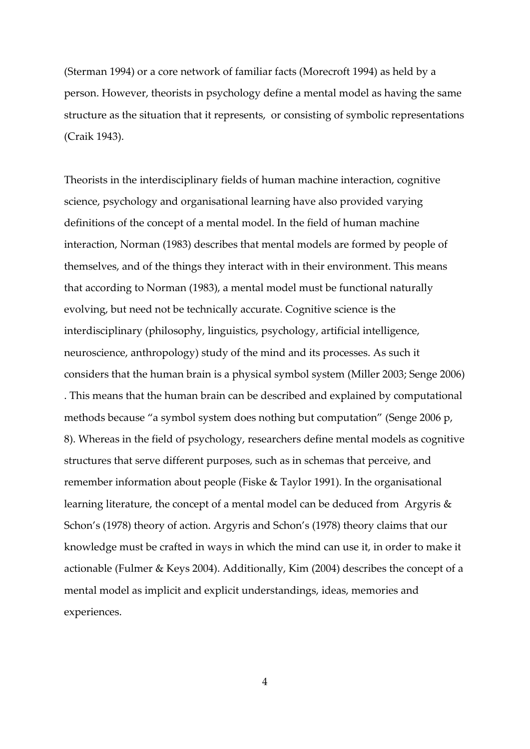(Sterman 1994) or a core network of familiar facts (Morecroft 1994) as held by a person. However, theorists in psychology define a mental model as having the same structure as the situation that it represents, or consisting of symbolic representations (Craik 1943).

Theorists in the interdisciplinary fields of human machine interaction, cognitive science, psychology and organisational learning have also provided varying definitions of the concept of a mental model. In the field of human machine interaction, Norman (1983) describes that mental models are formed by people of themselves, and of the things they interact with in their environment. This means that according to Norman (1983), a mental model must be functional naturally evolving, but need not be technically accurate. Cognitive science is the interdisciplinary (philosophy, linguistics, psychology, artificial intelligence, neuroscience, anthropology) study of the mind and its processes. As such it considers that the human brain is a physical symbol system (Miller 2003; Senge 2006) . This means that the human brain can be described and explained by computational methods because "a symbol system does nothing but computation" (Senge 2006 p, 8). Whereas in the field of psychology, researchers define mental models as cognitive structures that serve different purposes, such as in schemas that perceive, and remember information about people (Fiske & Taylor 1991). In the organisational learning literature, the concept of a mental model can be deduced from Argyris & Schon's (1978) theory of action. Argyris and Schon's (1978) theory claims that our knowledge must be crafted in ways in which the mind can use it, in order to make it actionable (Fulmer & Keys 2004). Additionally, Kim (2004) describes the concept of a mental model as implicit and explicit understandings, ideas, memories and experiences.

4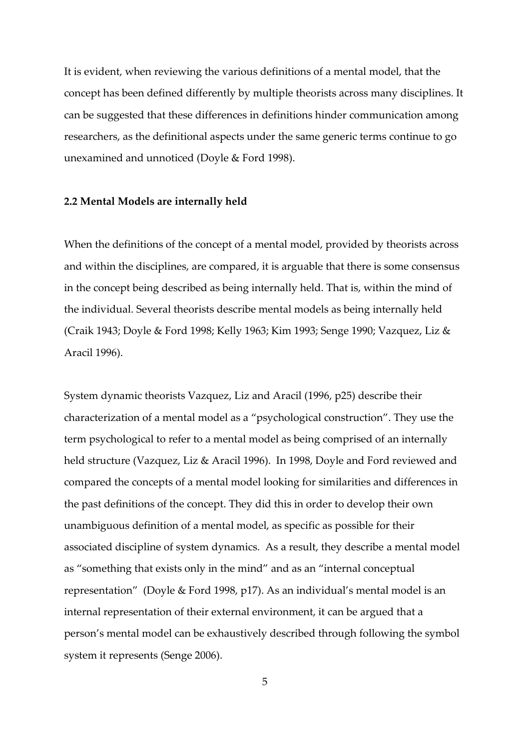It is evident, when reviewing the various definitions of a mental model, that the concept has been defined differently by multiple theorists across many disciplines. It can be suggested that these differences in definitions hinder communication among researchers, as the definitional aspects under the same generic terms continue to go unexamined and unnoticed (Doyle & Ford 1998).

## **2.2 Mental Models are internally held**

When the definitions of the concept of a mental model, provided by theorists across and within the disciplines, are compared, it is arguable that there is some consensus in the concept being described as being internally held. That is, within the mind of the individual. Several theorists describe mental models as being internally held (Craik 1943; Doyle & Ford 1998; Kelly 1963; Kim 1993; Senge 1990; Vazquez, Liz & Aracil 1996).

System dynamic theorists Vazquez, Liz and Aracil (1996, p25) describe their characterization of a mental model as a "psychological construction". They use the term psychological to refer to a mental model as being comprised of an internally held structure (Vazquez, Liz & Aracil 1996). In 1998, Doyle and Ford reviewed and compared the concepts of a mental model looking for similarities and differences in the past definitions of the concept. They did this in order to develop their own unambiguous definition of a mental model, as specific as possible for their associated discipline of system dynamics. As a result, they describe a mental model as "something that exists only in the mind" and as an "internal conceptual representation" (Doyle & Ford 1998, p17). As an individual's mental model is an internal representation of their external environment, it can be argued that a person's mental model can be exhaustively described through following the symbol system it represents (Senge 2006).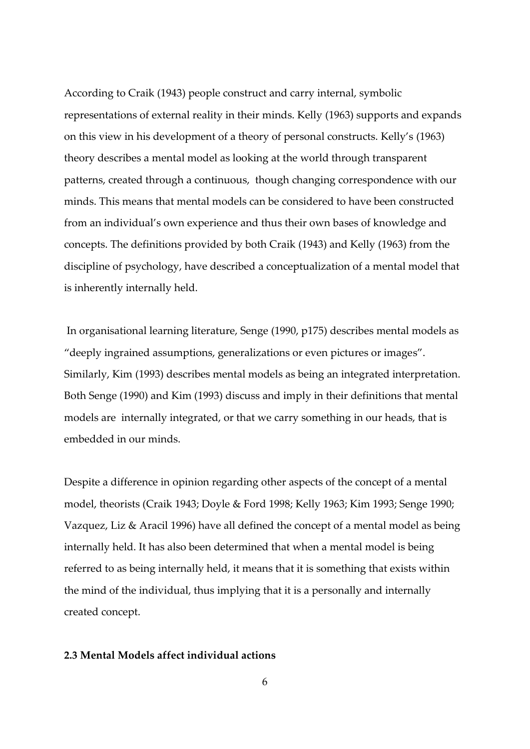According to Craik (1943) people construct and carry internal, symbolic representations of external reality in their minds. Kelly (1963) supports and expands on this view in his development of a theory of personal constructs. Kelly's (1963) theory describes a mental model as looking at the world through transparent patterns, created through a continuous, though changing correspondence with our minds. This means that mental models can be considered to have been constructed from an individual's own experience and thus their own bases of knowledge and concepts. The definitions provided by both Craik (1943) and Kelly (1963) from the discipline of psychology, have described a conceptualization of a mental model that is inherently internally held.

In organisational learning literature, Senge (1990, p175) describes mental models as "deeply ingrained assumptions, generalizations or even pictures or images". Similarly, Kim (1993) describes mental models as being an integrated interpretation. Both Senge (1990) and Kim (1993) discuss and imply in their definitions that mental models are internally integrated, or that we carry something in our heads, that is embedded in our minds.

Despite a difference in opinion regarding other aspects of the concept of a mental model, theorists (Craik 1943; Doyle & Ford 1998; Kelly 1963; Kim 1993; Senge 1990; Vazquez, Liz & Aracil 1996) have all defined the concept of a mental model as being internally held. It has also been determined that when a mental model is being referred to as being internally held, it means that it is something that exists within the mind of the individual, thus implying that it is a personally and internally created concept.

## **2.3 Mental Models affect individual actions**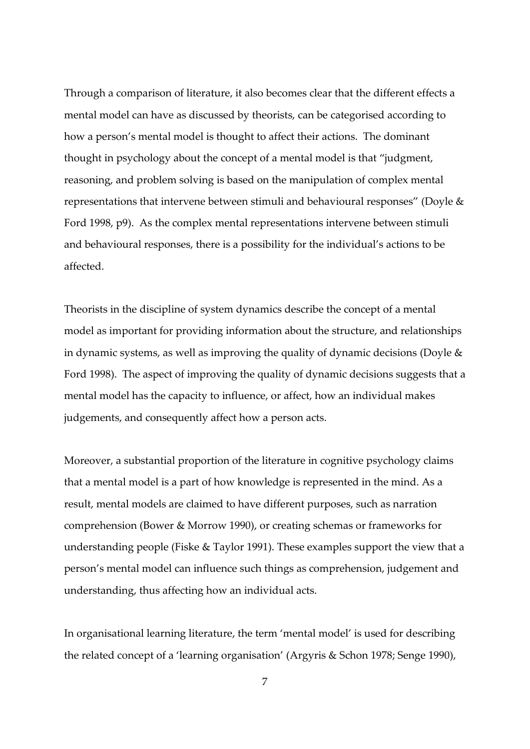Through a comparison of literature, it also becomes clear that the different effects a mental model can have as discussed by theorists, can be categorised according to how a person's mental model is thought to affect their actions. The dominant thought in psychology about the concept of a mental model is that "judgment, reasoning, and problem solving is based on the manipulation of complex mental representations that intervene between stimuli and behavioural responses" (Doyle & Ford 1998, p9). As the complex mental representations intervene between stimuli and behavioural responses, there is a possibility for the individual's actions to be affected.

Theorists in the discipline of system dynamics describe the concept of a mental model as important for providing information about the structure, and relationships in dynamic systems, as well as improving the quality of dynamic decisions (Doyle & Ford 1998). The aspect of improving the quality of dynamic decisions suggests that a mental model has the capacity to influence, or affect, how an individual makes judgements, and consequently affect how a person acts.

Moreover, a substantial proportion of the literature in cognitive psychology claims that a mental model is a part of how knowledge is represented in the mind. As a result, mental models are claimed to have different purposes, such as narration comprehension (Bower & Morrow 1990), or creating schemas or frameworks for understanding people (Fiske & Taylor 1991). These examples support the view that a person's mental model can influence such things as comprehension, judgement and understanding, thus affecting how an individual acts.

In organisational learning literature, the term 'mental model' is used for describing the related concept of a 'learning organisation' (Argyris & Schon 1978; Senge 1990),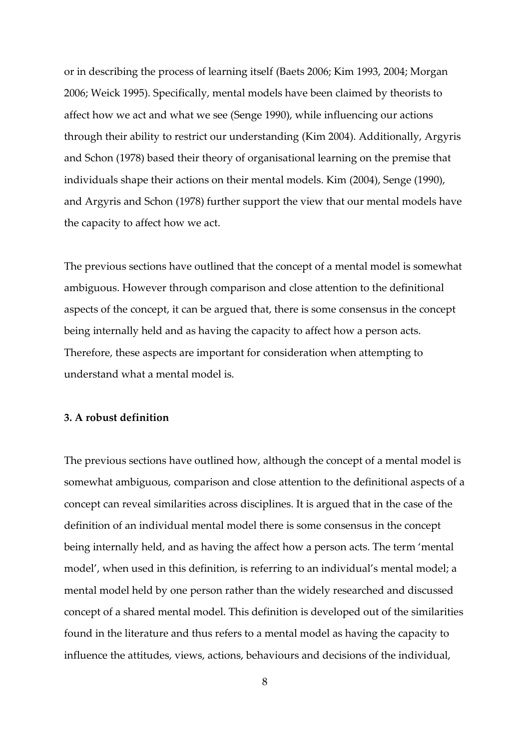or in describing the process of learning itself (Baets 2006; Kim 1993, 2004; Morgan 2006; Weick 1995). Specifically, mental models have been claimed by theorists to affect how we act and what we see (Senge 1990), while influencing our actions through their ability to restrict our understanding (Kim 2004). Additionally, Argyris and Schon (1978) based their theory of organisational learning on the premise that individuals shape their actions on their mental models. Kim (2004), Senge (1990), and Argyris and Schon (1978) further support the view that our mental models have the capacity to affect how we act.

The previous sections have outlined that the concept of a mental model is somewhat ambiguous. However through comparison and close attention to the definitional aspects of the concept, it can be argued that, there is some consensus in the concept being internally held and as having the capacity to affect how a person acts. Therefore, these aspects are important for consideration when attempting to understand what a mental model is.

### **3. A robust definition**

The previous sections have outlined how, although the concept of a mental model is somewhat ambiguous, comparison and close attention to the definitional aspects of a concept can reveal similarities across disciplines. It is argued that in the case of the definition of an individual mental model there is some consensus in the concept being internally held, and as having the affect how a person acts. The term 'mental model', when used in this definition, is referring to an individual's mental model; a mental model held by one person rather than the widely researched and discussed concept of a shared mental model. This definition is developed out of the similarities found in the literature and thus refers to a mental model as having the capacity to influence the attitudes, views, actions, behaviours and decisions of the individual,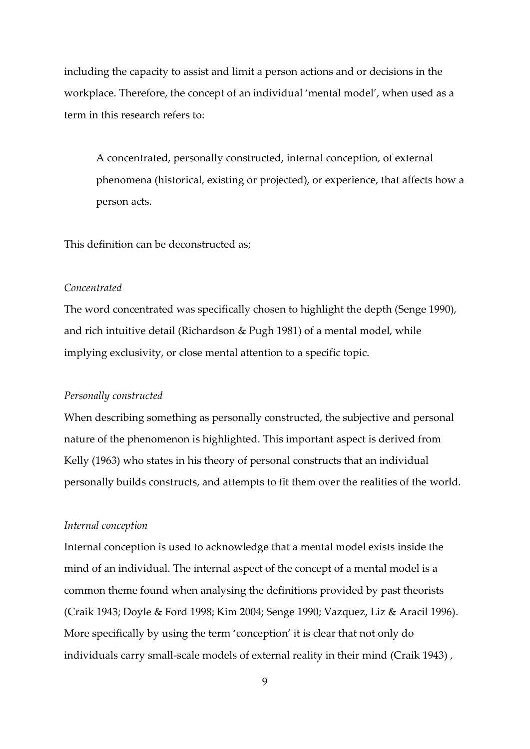including the capacity to assist and limit a person actions and or decisions in the workplace. Therefore, the concept of an individual 'mental model', when used as a term in this research refers to:

A concentrated, personally constructed, internal conception, of external phenomena (historical, existing or projected), or experience, that affects how a person acts.

This definition can be deconstructed as;

# *Concentrated*

The word concentrated was specifically chosen to highlight the depth (Senge 1990), and rich intuitive detail (Richardson & Pugh 1981) of a mental model, while implying exclusivity, or close mental attention to a specific topic.

### *Personally constructed*

When describing something as personally constructed, the subjective and personal nature of the phenomenon is highlighted. This important aspect is derived from Kelly (1963) who states in his theory of personal constructs that an individual personally builds constructs, and attempts to fit them over the realities of the world.

## *Internal conception*

Internal conception is used to acknowledge that a mental model exists inside the mind of an individual. The internal aspect of the concept of a mental model is a common theme found when analysing the definitions provided by past theorists (Craik 1943; Doyle & Ford 1998; Kim 2004; Senge 1990; Vazquez, Liz & Aracil 1996). More specifically by using the term 'conception' it is clear that not only do individuals carry small-scale models of external reality in their mind (Craik 1943) ,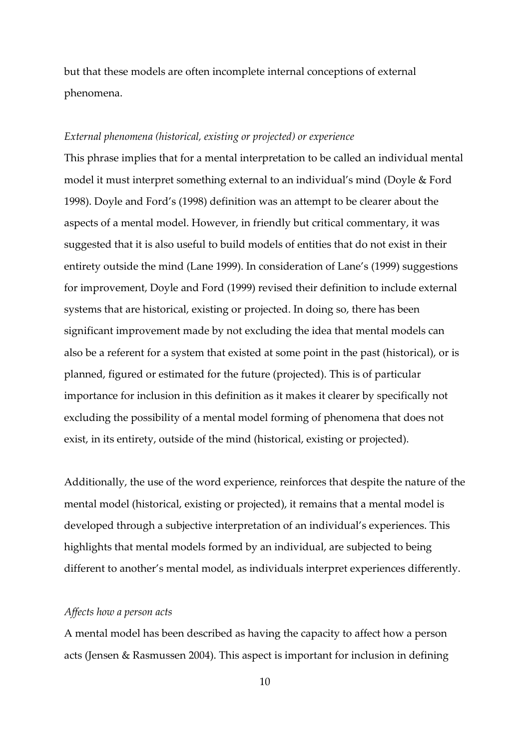but that these models are often incomplete internal conceptions of external phenomena.

#### *External phenomena (historical, existing or projected) or experience*

This phrase implies that for a mental interpretation to be called an individual mental model it must interpret something external to an individual's mind (Doyle & Ford 1998). Doyle and Ford's (1998) definition was an attempt to be clearer about the aspects of a mental model. However, in friendly but critical commentary, it was suggested that it is also useful to build models of entities that do not exist in their entirety outside the mind (Lane 1999). In consideration of Lane's (1999) suggestions for improvement, Doyle and Ford (1999) revised their definition to include external systems that are historical, existing or projected. In doing so, there has been significant improvement made by not excluding the idea that mental models can also be a referent for a system that existed at some point in the past (historical), or is planned, figured or estimated for the future (projected). This is of particular importance for inclusion in this definition as it makes it clearer by specifically not excluding the possibility of a mental model forming of phenomena that does not exist, in its entirety, outside of the mind (historical, existing or projected).

Additionally, the use of the word experience, reinforces that despite the nature of the mental model (historical, existing or projected), it remains that a mental model is developed through a subjective interpretation of an individual's experiences. This highlights that mental models formed by an individual, are subjected to being different to another's mental model, as individuals interpret experiences differently.

## *Affects how a person acts*

A mental model has been described as having the capacity to affect how a person acts (Jensen & Rasmussen 2004). This aspect is important for inclusion in defining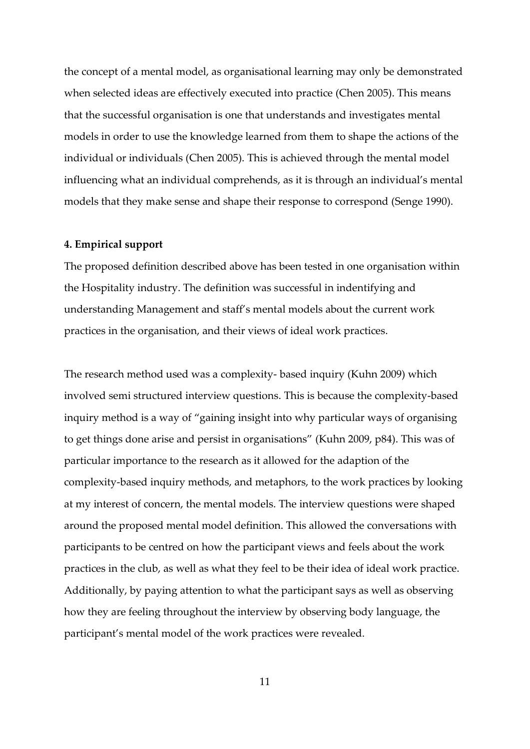the concept of a mental model, as organisational learning may only be demonstrated when selected ideas are effectively executed into practice (Chen 2005). This means that the successful organisation is one that understands and investigates mental models in order to use the knowledge learned from them to shape the actions of the individual or individuals (Chen 2005). This is achieved through the mental model influencing what an individual comprehends, as it is through an individual's mental models that they make sense and shape their response to correspond (Senge 1990).

#### **4. Empirical support**

The proposed definition described above has been tested in one organisation within the Hospitality industry. The definition was successful in indentifying and understanding Management and staff's mental models about the current work practices in the organisation, and their views of ideal work practices.

The research method used was a complexity- based inquiry (Kuhn 2009) which involved semi structured interview questions. This is because the complexity-based inquiry method is a way of "gaining insight into why particular ways of organising to get things done arise and persist in organisations" (Kuhn 2009, p84). This was of particular importance to the research as it allowed for the adaption of the complexity-based inquiry methods, and metaphors, to the work practices by looking at my interest of concern, the mental models. The interview questions were shaped around the proposed mental model definition. This allowed the conversations with participants to be centred on how the participant views and feels about the work practices in the club, as well as what they feel to be their idea of ideal work practice. Additionally, by paying attention to what the participant says as well as observing how they are feeling throughout the interview by observing body language, the participant's mental model of the work practices were revealed.

11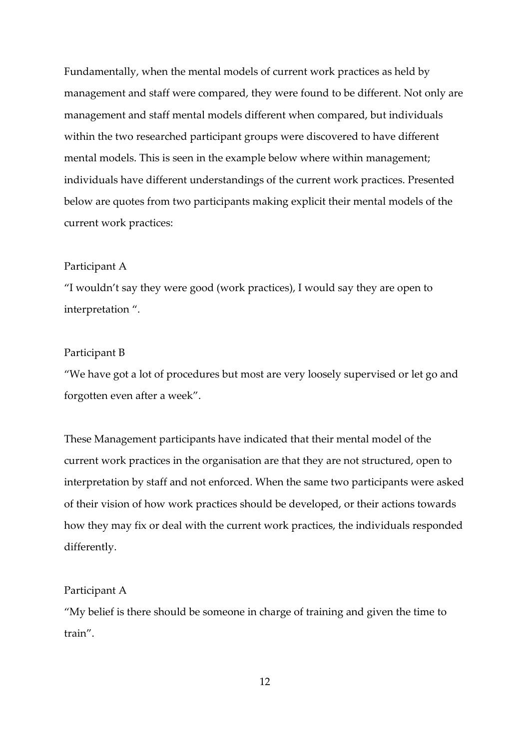Fundamentally, when the mental models of current work practices as held by management and staff were compared, they were found to be different. Not only are management and staff mental models different when compared, but individuals within the two researched participant groups were discovered to have different mental models. This is seen in the example below where within management; individuals have different understandings of the current work practices. Presented below are quotes from two participants making explicit their mental models of the current work practices:

### Participant A

"I wouldn't say they were good (work practices), I would say they are open to interpretation ".

## Participant B

"We have got a lot of procedures but most are very loosely supervised or let go and forgotten even after a week".

These Management participants have indicated that their mental model of the current work practices in the organisation are that they are not structured, open to interpretation by staff and not enforced. When the same two participants were asked of their vision of how work practices should be developed, or their actions towards how they may fix or deal with the current work practices, the individuals responded differently.

### Participant A

"My belief is there should be someone in charge of training and given the time to train".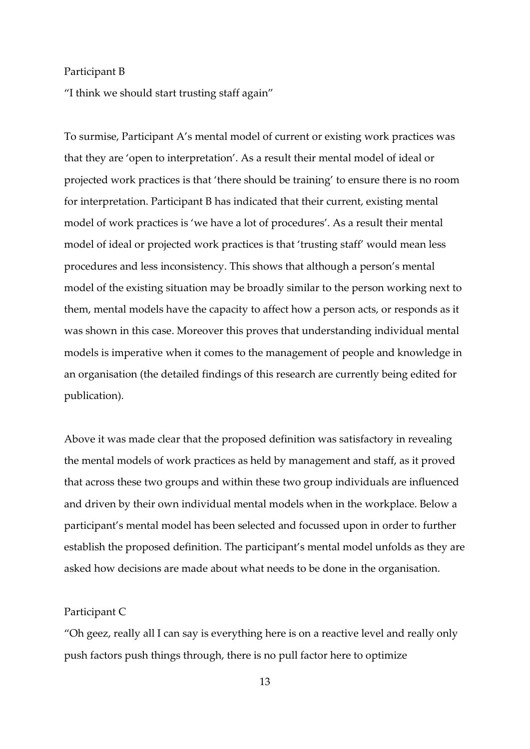#### Participant B

"I think we should start trusting staff again"

To surmise, Participant A's mental model of current or existing work practices was that they are 'open to interpretation'. As a result their mental model of ideal or projected work practices is that 'there should be training' to ensure there is no room for interpretation. Participant B has indicated that their current, existing mental model of work practices is 'we have a lot of procedures'. As a result their mental model of ideal or projected work practices is that 'trusting staff' would mean less procedures and less inconsistency. This shows that although a person's mental model of the existing situation may be broadly similar to the person working next to them, mental models have the capacity to affect how a person acts, or responds as it was shown in this case. Moreover this proves that understanding individual mental models is imperative when it comes to the management of people and knowledge in an organisation (the detailed findings of this research are currently being edited for publication).

Above it was made clear that the proposed definition was satisfactory in revealing the mental models of work practices as held by management and staff, as it proved that across these two groups and within these two group individuals are influenced and driven by their own individual mental models when in the workplace. Below a participant's mental model has been selected and focussed upon in order to further establish the proposed definition. The participant's mental model unfolds as they are asked how decisions are made about what needs to be done in the organisation.

#### Participant C

"Oh geez, really all I can say is everything here is on a reactive level and really only push factors push things through, there is no pull factor here to optimize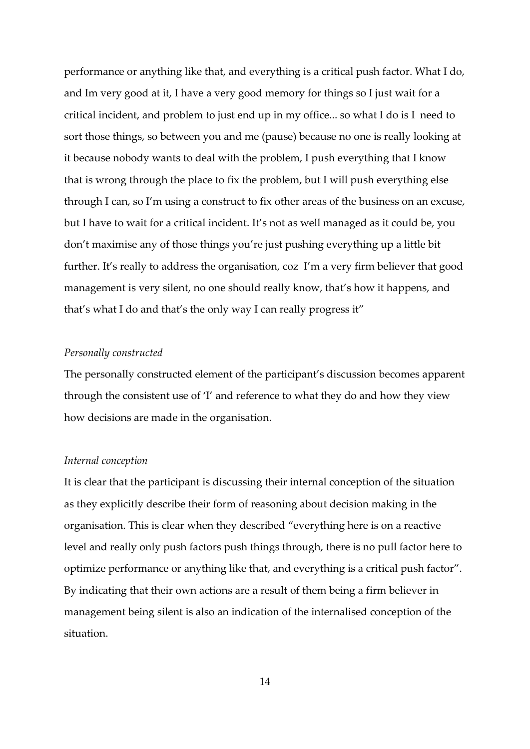performance or anything like that, and everything is a critical push factor. What I do, and Im very good at it, I have a very good memory for things so I just wait for a critical incident, and problem to just end up in my office... so what I do is I need to sort those things, so between you and me (pause) because no one is really looking at it because nobody wants to deal with the problem, I push everything that I know that is wrong through the place to fix the problem, but I will push everything else through I can, so I'm using a construct to fix other areas of the business on an excuse, but I have to wait for a critical incident. It's not as well managed as it could be, you don't maximise any of those things you're just pushing everything up a little bit further. It's really to address the organisation, coz I'm a very firm believer that good management is very silent, no one should really know, that's how it happens, and that's what I do and that's the only way I can really progress it"

#### *Personally constructed*

The personally constructed element of the participant's discussion becomes apparent through the consistent use of 'I' and reference to what they do and how they view how decisions are made in the organisation.

#### *Internal conception*

It is clear that the participant is discussing their internal conception of the situation as they explicitly describe their form of reasoning about decision making in the organisation. This is clear when they described "everything here is on a reactive level and really only push factors push things through, there is no pull factor here to optimize performance or anything like that, and everything is a critical push factor". By indicating that their own actions are a result of them being a firm believer in management being silent is also an indication of the internalised conception of the situation.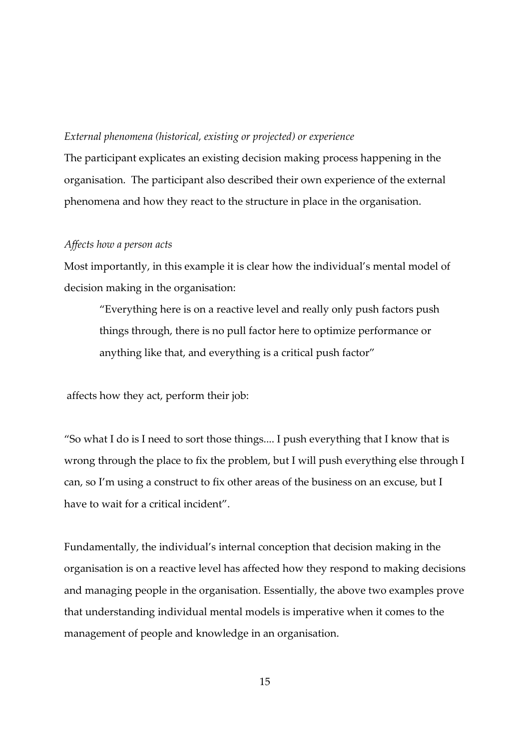## *External phenomena (historical, existing or projected) or experience*

The participant explicates an existing decision making process happening in the organisation. The participant also described their own experience of the external phenomena and how they react to the structure in place in the organisation.

#### *Affects how a person acts*

Most importantly, in this example it is clear how the individual's mental model of decision making in the organisation:

"Everything here is on a reactive level and really only push factors push things through, there is no pull factor here to optimize performance or anything like that, and everything is a critical push factor"

affects how they act, perform their job:

"So what I do is I need to sort those things.... I push everything that I know that is wrong through the place to fix the problem, but I will push everything else through I can, so I'm using a construct to fix other areas of the business on an excuse, but I have to wait for a critical incident".

Fundamentally, the individual's internal conception that decision making in the organisation is on a reactive level has affected how they respond to making decisions and managing people in the organisation. Essentially, the above two examples prove that understanding individual mental models is imperative when it comes to the management of people and knowledge in an organisation.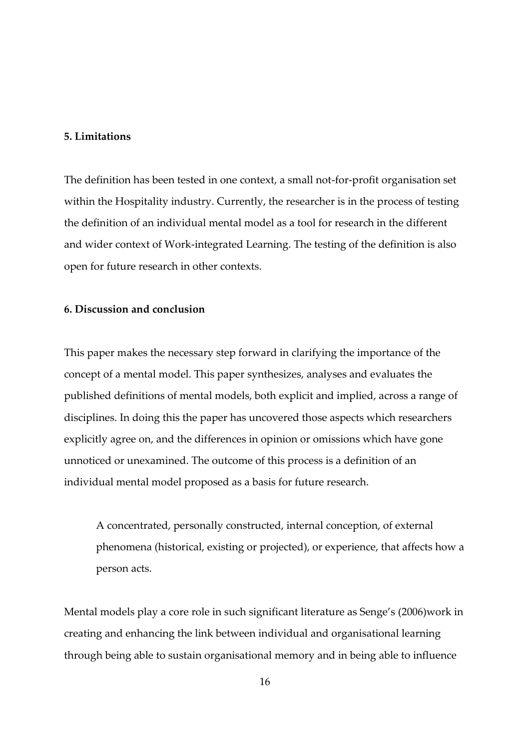## **5. Limitations**

The definition has been tested in one context, a small not-for-profit organisation set within the Hospitality industry. Currently, the researcher is in the process of testing the definition of an individual mental model as a tool for research in the different and wider context of Work-integrated Learning. The testing of the definition is also open for future research in other contexts.

# **6. Discussion and conclusion**

This paper makes the necessary step forward in clarifying the importance of the concept of a mental model. This paper synthesizes, analyses and evaluates the published definitions of mental models, both explicit and implied, across a range of disciplines. In doing this the paper has uncovered those aspects which researchers explicitly agree on, and the differences in opinion or omissions which have gone unnoticed or unexamined. The outcome of this process is a definition of an individual mental model proposed as a basis for future research.

A concentrated, personally constructed, internal conception, of external phenomena (historical, existing or projected), or experience, that affects how a person acts.

Mental models play a core role in such significant literature as Senge's (2006)work in creating and enhancing the link between individual and organisational learning through being able to sustain organisational memory and in being able to influence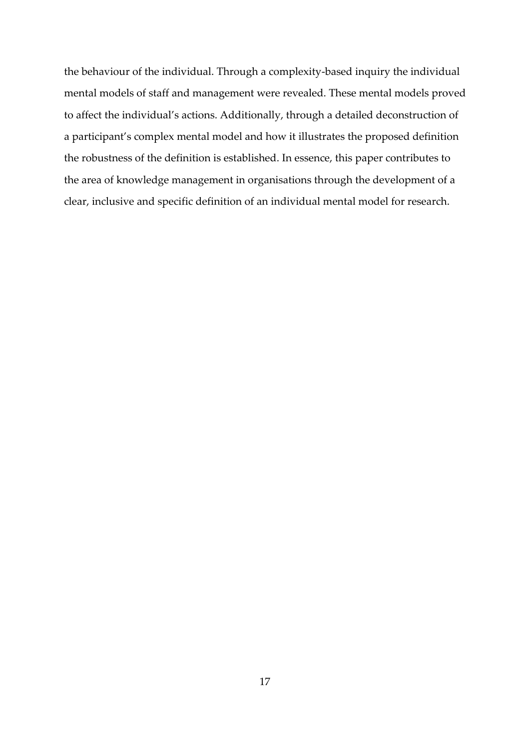the behaviour of the individual. Through a complexity-based inquiry the individual mental models of staff and management were revealed. These mental models proved to affect the individual's actions. Additionally, through a detailed deconstruction of a participant's complex mental model and how it illustrates the proposed definition the robustness of the definition is established. In essence, this paper contributes to the area of knowledge management in organisations through the development of a clear, inclusive and specific definition of an individual mental model for research.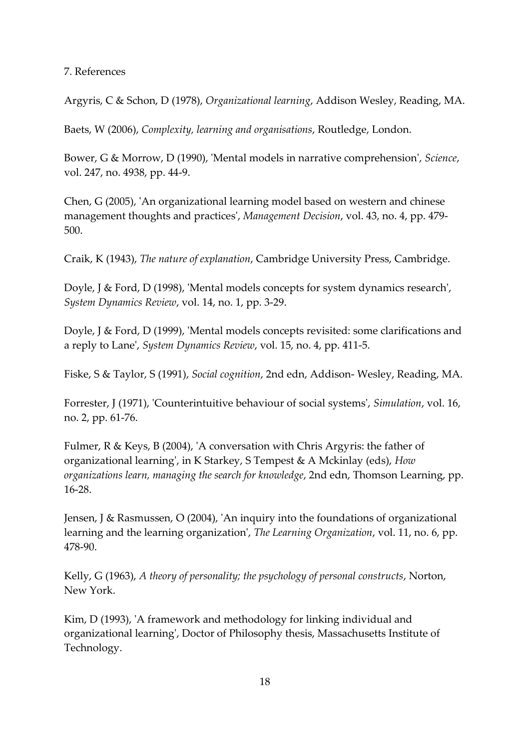7. References

Argyris, C & Schon, D (1978), *Organizational learning*, Addison Wesley, Reading, MA.

Baets, W (2006), *Complexity, learning and organisations*, Routledge, London.

Bower, G & Morrow, D (1990), 'Mental models in narrative comprehension', *Science*, vol. 247, no. 4938, pp. 44-9.

Chen, G (2005), 'An organizational learning model based on western and chinese management thoughts and practices', *Management Decision*, vol. 43, no. 4, pp. 479- 500.

Craik, K (1943), *The nature of explanation*, Cambridge University Press, Cambridge.

Doyle, J & Ford, D (1998), 'Mental models concepts for system dynamics research', *System Dynamics Review*, vol. 14, no. 1, pp. 3-29.

Doyle, J & Ford, D (1999), 'Mental models concepts revisited: some clarifications and a reply to Lane', *System Dynamics Review*, vol. 15, no. 4, pp. 411-5.

Fiske, S & Taylor, S (1991), *Social cognition*, 2nd edn, Addison- Wesley, Reading, MA.

Forrester, J (1971), 'Counterintuitive behaviour of social systems', *Simulation*, vol. 16, no. 2, pp. 61-76.

Fulmer, R & Keys, B (2004), 'A conversation with Chris Argyris: the father of organizational learning', in K Starkey, S Tempest & A Mckinlay (eds), *How organizations learn, managing the search for knowledge*, 2nd edn, Thomson Learning, pp. 16-28.

Jensen, J & Rasmussen, O (2004), 'An inquiry into the foundations of organizational learning and the learning organization', *The Learning Organization*, vol. 11, no. 6, pp. 478-90.

Kelly, G (1963), *A theory of personality; the psychology of personal constructs*, Norton, New York.

Kim, D (1993), 'A framework and methodology for linking individual and organizational learning', Doctor of Philosophy thesis, Massachusetts Institute of Technology.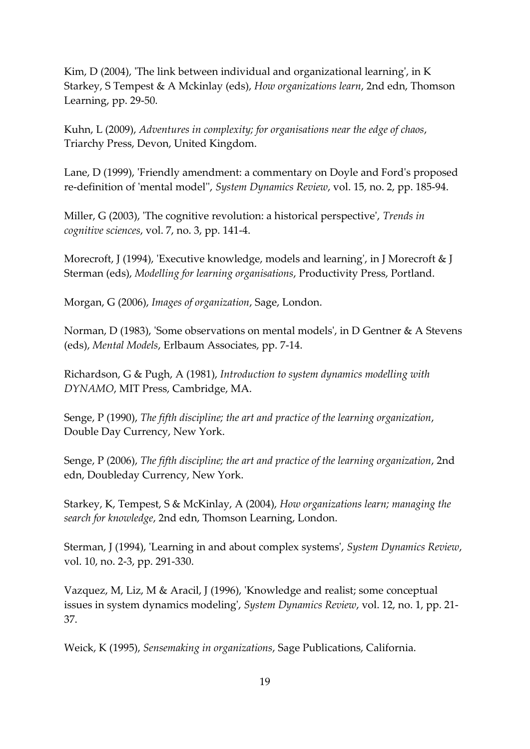Kim, D (2004), 'The link between individual and organizational learning', in K Starkey, S Tempest & A Mckinlay (eds), *How organizations learn*, 2nd edn, Thomson Learning, pp. 29-50.

Kuhn, L (2009), *Adventures in complexity; for organisations near the edge of chaos*, Triarchy Press, Devon, United Kingdom.

Lane, D (1999), 'Friendly amendment: a commentary on Doyle and Ford's proposed re-definition of 'mental model'', *System Dynamics Review*, vol. 15, no. 2, pp. 185-94.

Miller, G (2003), 'The cognitive revolution: a historical perspective', *Trends in cognitive sciences*, vol. 7, no. 3, pp. 141-4.

Morecroft, J (1994), 'Executive knowledge, models and learning', in J Morecroft & J Sterman (eds), *Modelling for learning organisations*, Productivity Press, Portland.

Morgan, G (2006), *Images of organization*, Sage, London.

Norman, D (1983), 'Some observations on mental models', in D Gentner & A Stevens (eds), *Mental Models*, Erlbaum Associates, pp. 7-14.

Richardson, G & Pugh, A (1981), *Introduction to system dynamics modelling with DYNAMO*, MIT Press, Cambridge, MA.

Senge, P (1990), *The fifth discipline; the art and practice of the learning organization*, Double Day Currency, New York.

Senge, P (2006), *The fifth discipline; the art and practice of the learning organization*, 2nd edn, Doubleday Currency, New York.

Starkey, K, Tempest, S & McKinlay, A (2004), *How organizations learn; managing the search for knowledge*, 2nd edn, Thomson Learning, London.

Sterman, J (1994), 'Learning in and about complex systems', *System Dynamics Review*, vol. 10, no. 2-3, pp. 291-330.

Vazquez, M, Liz, M & Aracil, J (1996), 'Knowledge and realist; some conceptual issues in system dynamics modeling', *System Dynamics Review*, vol. 12, no. 1, pp. 21- 37.

Weick, K (1995), *Sensemaking in organizations*, Sage Publications, California.